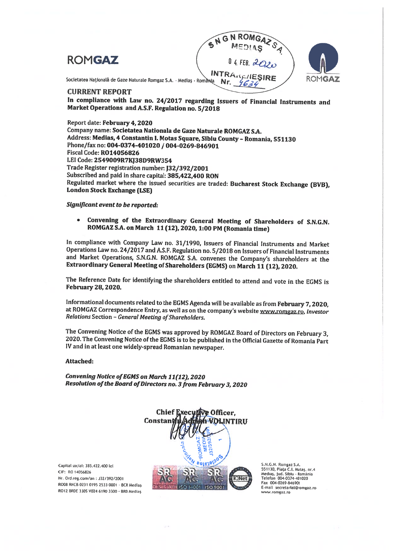



Societatea Națională de Gaze Naturale Romgaz S.A. - Mediaș - România

### CURRENT REPORT

In compliance with Law no. 24/2017 regarding Issuers of Financial Instruments and Market Operations and A.S.F. Regulation no. 5/2018

Report date: February 4, 2020 Company name: Societatea Nationala de Gaze Naturale ROMGAZ S.A. Address: Medias, 4 Constantin I. Motas Square, Sibiu County - Romania, 551130 Phone/fax no: 004-0374-401020 / 004-0269-846901 Fiscal Code: R014056826 LEI Code: 2549009R7KJ38D9RW354 Trade Register registration number: J32/392/2001 Subscribed and paid in share capital: 385,422,400 RON Regulated market where the issued securities are traded: Bucharest Stock Exchange (BVB), London Stock Exchange (LSE)

### Significant event to be reported:

• Convening of the Extraordinary General Meeting of Shareholders of S.N.G.N. ROMGAZ S.A. on March 11 (12), 2020, 1:00 PM (Romania time)

In compliance with Company Law no. 31/1990, Issuers of Financial Instruments and Market Operations Law no. 24/2017 and A.S.F. Regulation no. 5/2018 on Issuers of Financial Instruments and Market Operations, S.N.G.N. ROMGAZ S.A. convenes the Company's shareholders at the Extraordinary General Meeting of Shareholders (EGMS) on March 11 (12), 2020.

The Reference Date for identifying the shareholders entitled to attend and vote in the EGMS is February 28, 2020.

Informational documents related to the EGMS Agenda will be available as from February 7, 2020, at ROMGAZ Correspondence Entry, as well as on the company's website www.romgaz.ro, Investor<br>Relations Section - General Meeting of Shareholders.

The Convening Notice of the EGMS was approved by ROMGAZ Board of Directors on February 3, 2020. The Convening Notice of the EGMS is to be published in the Official Gazette of Romania Part IV and in at least one widely-spread Romanian newspaper.

#### Attached:

Convening Notice of EGMS on March 11(12), 2020 Resolution of the Board of Directors no. 3 from February 3, 2020

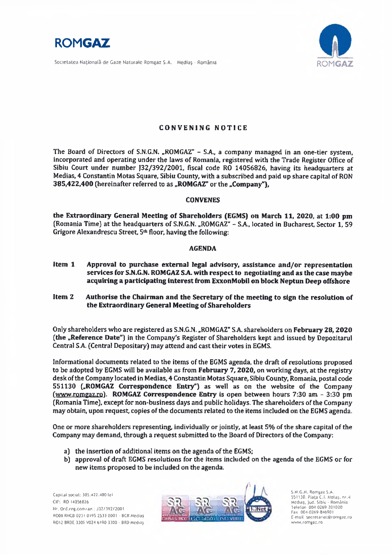

Societatea Națională de Gaze Naturale Romgaz S.A. Mediaș · România



# **CONVENING NOTICE**

The Board of Directors of S.N.G.N. "ROMGAZ" - S.A., a company managed in an one-tier system, incorporated and operating under the laws of Romania, registered with the Trade Register Office of Sibiu Court under number J32/392/2001, fiscal code RO 14056826, having its headquarters at Medias, 4 Constantin Motas Square, Sibiu County, with a subscribed and paid up share capital of RON 385,422,400 (hereinafter referred to as "ROMGAZ" or the "Company"),

### **CONVENES**

the Extraordinary General Meeting of Shareholders (EGMS) on March 11, 2020, at 1:00 pm (Romania Time) at the headquarters of S.N.G.N. "ROMGAZ" - S.A., located in Bucharest, Sector 1, 59 Grigore Alexandrescu Street, 5th floor, having the following:

## **AGENDA**

- Item 1 Approval to purchase external legal advisory, assistance and/or representation services for S.N.G.N. ROMGAZ S.A. with respect to negotiating and as the case maybe acquiring a participating interest from ExxonMobil on block Neptun Deep offshore
- Item 2 Authorise the Chairman and the Secretary of the meeting to sign the resolution of the Extraordinary General Meeting of Shareholders

Only shareholders who are registered as S.N.G.N., "ROMGAZ" S.A. shareholders on February 28, 2020 (the "Reference Date") in the Company's Register of Shareholders kept and issued by Depozitarul Central S.A. (Central Depositary) may attend and cast their votes in EGMS.

Informational documents related to the items of the EGMS agenda, the draft of resolutions proposed to be adopted by EGMS will be available as from February 7, 2020, on working days, at the registry desk of the Company located in Medias, 4 Constantin Motas Square, Sibiu County, Romania, postal code 551130 ("ROMGAZ Correspondence Entry") as well as on the website of the Company (www.romgaz.ro). ROMGAZ Correspondence Entry is open between hours 7:30 am - 3:30 pm (Romania Time), except for non-business days and public holidays. The shareholders of the Company may obtain, upon request, copies of the documents related to the items included on the EGMS agenda.

One or more shareholders representing, individually or jointly, at least 5% of the share capital of the Company may demand, through a request submitted to the Board of Directors of the Company:

- a) the insertion of additional items on the agenda of the EGMS:
- b) approval of draft EGMS resolutions for the items included on the agenda of the EGMS or for new items proposed to be included on the agenda.



.N.G.N. Romgaz S.A. 551130, Piața C.I. Motaș, nr.4 Mediaș, jud. Sibiu - România<br>Telefon: 004 0269 201020 Fax 004-0269-846901 E-mail secretariat@romgaz.ro www.romgaz.ro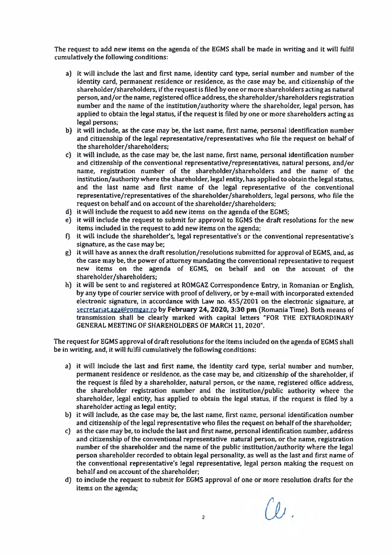The request to add new items on the agenda of the EGMS shall be made in writing and it will fulfil cumulatively the following conditions:

- a) it will include the last and first name, identity card type, serial number and number of the identity card, permanent residence or residence, as the case may be, and citizenship of the shareholder/shareholders, if the request is filed by one or more shareholders acting as natural person, and/or the name, registered office address, the shareholder/shareholders registration number and the name of the institution/authority where the shareholder, legal person, has applied to obtain the legal status, if the request is filed by one or more shareholders acting as legal persons:
- b) it will include, as the case may be, the last name, first name, personal identification number and citizenship of the legal representative/representatives who file the request on behalf of the shareholder/shareholders:
- c) it will include, as the case may be, the last name, first name, personal identification number and citizenship of the conventional representative/representatives, natural persons, and/or name, registration number of the shareholder/shareholders and the name of the institution/authority where the shareholder, legal entity, has applied to obtain the legal status, and the last name and first name of the legal representative of the conventional representative/representatives of the shareholder/shareholders, legal persons, who file the request on behalf and on account of the shareholder/shareholders;
- d) it will include the request to add new items on the agenda of the EGMS;
- e) it will include the request to submit for approval to EGMS the draft resolutions for the new items included in the request to add new items on the agenda:
- f) it will include the shareholder's, legal representative's or the conventional representative's signature, as the case may be:
- g) it will have as annex the draft resolution/resolutions submitted for approval of EGMS, and, as the case may be, the power of attorney mandating the conventional representative to request new items on the agenda of EGMS, on behalf and on the account of the shareholder/shareholders;
- h) it will be sent to and registered at ROMGAZ Correspondence Entry, in Romanian or English, by any type of courier service with proof of delivery, or by e-mail with incorporated extended electronic signature, in accordance with Law no. 455/2001 on the electronic signature, at secretariat.aga@romgaz.ro by February 24, 2020, 3:30 pm (Romania Time). Both means of transmission shall be clearly marked with capital letters "FOR THE EXTRAORDINARY **GENERAL MEETING OF SHAREHOLDERS OF MARCH 11, 2020".**

The request for EGMS approval of draft resolutions for the items included on the agenda of EGMS shall be in writing, and, it will fulfil cumulatively the following conditions:

- a) it will include the last and first name, the identity card type, serial number and number. permanent residence or residence, as the case may be, and citizenship of the shareholder, if the request is filed by a shareholder, natural person, or the name, registered office address, the shareholder registration number and the institution/public authority where the shareholder, legal entity, has applied to obtain the legal status, if the request is filed by a shareholder acting as legal entity;
- b) it will include, as the case may be, the last name, first name, personal identification number and citizenship of the legal representative who files the request on behalf of the shareholder:
- c) as the case may be, to include the last and first name, personal identification number, address and citizenship of the conventional representative natural person, or the name, registration number of the shareholder and the name of the public institution/authority where the legal person shareholder recorded to obtain legal personality, as well as the last and first name of the conventional representative's legal representative, legal person making the request on behalf and on account of the shareholder;
- d) to include the request to submit for EGMS approval of one or more resolution drafts for the items on the agenda;

Cei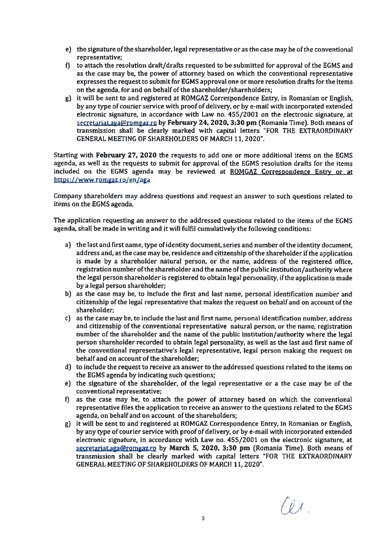- e) the signature of the shareholder, legal representative or as the case may be of the conventional representative:
- f) to attach the resolution draft/drafts requested to be submitted for approval of the EGMS and as the case may be, the power of attorney based on which the conventional representative expresses the request to submit for EGMS approval one or more resolution drafts for the items on the agenda, for and on behalf of the shareholder/shareholders;
- g) it will be sent to and registered at ROMGAZ Correspondence Entry, in Romanian or English. by any type of courier service with proof of delivery, or by e-mail with incorporated extended electronic signature, in accordance with Law no. 455/2001 on the electronic signature, at secretariat.aga@romgaz.ro by February 24, 2020, 3:30 pm (Romania Time). Both means of transmission shall be clearly marked with capital letters "FOR THE EXTRAORDINARY GENERAL MEETING OF SHAREHOLDERS OF MARCH 11, 2020".

Starting with February 27, 2020 the requests to add one or more additional items on the EGMS agenda, as well as the requests to submit for approval of the EGMS resolution drafts for the items included on the EGMS agenda may be reviewed at ROMGAZ Correspondence Entry or at https://www.romgaz.ro/en/aga

Company shareholders may address questions and request an answer to such questions related to items on the EGMS agenda.

The application requesting an answer to the addressed questions related to the items of the EGMS agenda, shall be made in writing and it will fulfil cumulatively the following conditions:

- a) the last and first name, type of identity document, series and number of the identity document, address and, as the case may be, residence and citizenship of the shareholder if the application is made by a shareholder natural person, or the name, address of the registered office. registration number of the shareholder and the name of the public institution/authority where the legal person shareholder is registered to obtain legal personality, if the application is made by a legal person shareholder:
- b) as the case may be, to include the first and last name, personal identification number and citizenship of the legal representative that makes the request on behalf and on account of the shareholder:
- c) as the case may be, to include the last and first name, personal identification number, address and citizenship of the conventional representative natural person, or the name, registration number of the shareholder and the name of the public institution/authority where the legal person shareholder recorded to obtain legal personality, as well as the last and first name of the conventional representative's legal representative, legal person making the request on behalf and on account of the shareholder:
- d) to include the request to receive an answer to the addressed questions related to the items on the EGMS agenda by indicating such questions;
- e) the signature of the shareholder, of the legal representative or a the case may be of the conventional representative;
- f) as the case may be, to attach the power of attorney based on which the conventional representative files the application to receive an answer to the questions related to the EGMS agenda, on behalf and on account of the shareholders;
- g) it will be sent to and registered at ROMGAZ Correspondence Entry, in Romanian or English, by any type of courier service with proof of delivery, or by e-mail with incorporated extended electronic signature, in accordance with Law no. 455/2001 on the electronic signature, at secretariat.aga@romgaz.ro by March 5, 2020, 3:30 pm (Romania Time). Both means of transmission shall be clearly marked with capital letters "FOR THE EXTRAORDINARY GENERAL MEETING OF SHAREHOLDERS OF MARCH 11, 2020".

 $Q_{\lambda}$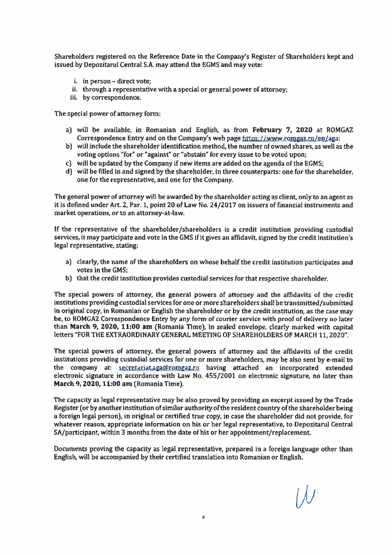Shareholders registered on the Reference Date in the Company's Register of Shareholders kept and issued by Depozitarul Central S.A. may attend the EGMS and may vote:

- i. in person direct vote;
- ii. through a representative with a special or general power of attorney;
- iii. by correspondence.

The special power of attorney form:

- a) will be available, in Romanian and English, as from February 7, 2020 at ROMGAZ Correspondence Entry and on the Company's web page https://www.romgaz.ro/en/aga:
- b) will include the shareholder identification method, the number of owned shares, as well as the voting options "for" or "against" or "abstain" for every issue to be voted upon;
- c) will be updated by the Company if new items are added on the agenda of the EGMS;
- d) will be filled in and signed by the shareholder, in three counterparts: one for the shareholder, one for the representative, and one for the Company.

The general power of attorney will be awarded by the shareholder acting as client, only to an agent as it is defined under Art. 2, Par. 1, point 20 of Law No. 24/2017 on issuers of financial instruments and market operations, or to an attorney-at-law.

If the representative of the shareholder/shareholders is a credit institution providing custodial services, it may participate and vote in the GMS if it gives an affidavit, signed by the credit institution's legal representative, stating:

- a) clearly, the name of the shareholders on whose behalf the credit institution participates and votes in the GMS:
- b) that the credit institution provides custodial services for that respective shareholder.

The special powers of attorney, the general powers of attorney and the affidavits of the credit institutions providing custodial services for one or more shareholders shall be transmitted/submitted in original copy, in Romanian or English the shareholder or by the credit institution, as the case may be, to ROMGAZ Correspondence Entry by any form of courier service with proof of delivery no later than March 9, 2020, 11:00 am (Romania Time), in sealed envelope, clearly marked with capital letters "FOR THE EXTRAORDINARY GENERAL MEETING OF SHAREHOLDERS OF MARCH 11, 2020".

The special powers of attorney, the general powers of attorney and the affidavits of the credit institutions providing custodial services for one or more shareholders, may be also sent by e-mail to the company at: secretariat.aga@romgaz.ro having attached an incorporated extended electronic signature in accordance with Law No. 455/2001 on electronic signature, no later than March 9, 2020, 11:00 am (Romania Time).

The capacity as legal representative may be also proved by providing an excerpt issued by the Trade Register (or by another institution of similar authority of the resident country of the shareholder being a foreign legal person), in original or certified true copy, in case the shareholder did not provide, for whatever reason, appropriate information on his or her legal representative, to Depozitarul Central SA/participant, within 3 months from the date of his or her appointment/replacement.

Documents proving the capacity as legal representative, prepared in a foreign language other than English, will be accompanied by their certified translation into Romanian or English.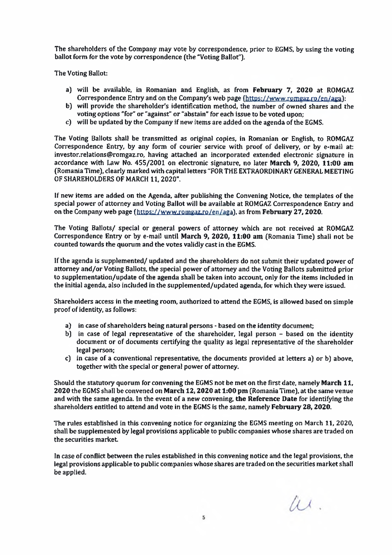The shareholders of the Company may vote by correspondence, prior to EGMS, by using the voting ballot form for the vote by correspondence (the "Voting Ballot").

The Voting Ballot:

- a) will be available, in Romanian and English, as from February 7, 2020 at ROMGAZ Correspondence Entry and on the Company's web page (https://www.romgaz.ro/en/aga):
- b) will provide the shareholder's identification method, the number of owned shares and the voting options "for" or "against" or "abstain" for each issue to be voted upon;
- c) will be updated by the Company if new items are added on the agenda of the EGMS.

The Voting Ballots shall be transmitted as original copies, in Romanian or English, to ROMGAZ Correspondence Entry, by any form of courier service with proof of delivery, or by e-mail at: investor.relations@romgaz.ro, having attached an incorporated extended electronic signature in accordance with Law No. 455/2001 on electronic signature, no later March 9, 2020, 11:00 am (Romania Time), clearly marked with capital letters "FOR THE EXTRAORDINARY GENERAL MEETING OF SHAREHOLDERS OF MARCH 11, 2020".

If new items are added on the Agenda, after publishing the Convening Notice, the templates of the special power of attorney and Voting Ballot will be available at ROMGAZ Correspondence Entry and on the Company web page (https://www.romgaz.ro/en/aga), as from February 27, 2020.

The Voting Ballots/ special or general powers of attorney which are not received at ROMGAZ Correspondence Entry or by e-mail until March 9, 2020, 11:00 am (Romania Time) shall not be counted towards the quorum and the votes validly cast in the EGMS.

If the agenda is supplemented/updated and the shareholders do not submit their updated power of attorney and/or Voting Ballots, the special power of attorney and the Voting Ballots submitted prior to supplementation/update of the agenda shall be taken into account, only for the items included in the initial agenda, also included in the supplemented/updated agenda, for which they were issued.

Shareholders access in the meeting room, authorized to attend the EGMS, is allowed based on simple proof of identity, as follows:

- a) in case of shareholders being natural persons based on the identity document:
- b) in case of legal representative of the shareholder, legal person based on the identity document or of documents certifying the quality as legal representative of the shareholder legal person;
- c) in case of a conventional representative, the documents provided at letters a) or b) above, together with the special or general power of attorney.

Should the statutory quorum for convening the EGMS not be met on the first date, namely March 11, 2020 the EGMS shall be convened on March 12, 2020 at 1:00 pm (Romania Time), at the same venue and with the same agenda. In the event of a new convening, the Reference Date for identifying the shareholders entitled to attend and vote in the EGMS is the same, namely February 28, 2020.

The rules established in this convening notice for organizing the EGMS meeting on March 11, 2020. shall be supplemented by legal provisions applicable to public companies whose shares are traded on the securities market.

In case of conflict between the rules established in this convening notice and the legal provisions, the legal provisions applicable to public companies whose shares are traded on the securities market shall be applied.

 $\mu$ .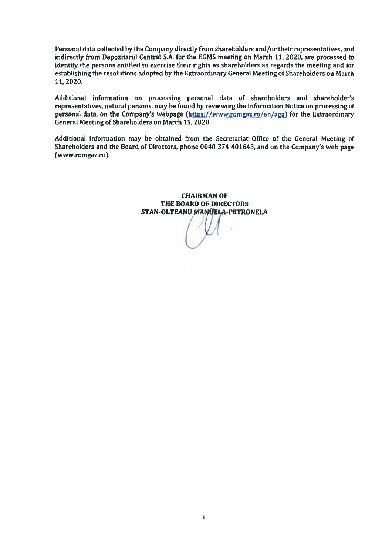Personal data collected by the Company directly from shareholders and/or their representatives, and indirectly from Depozitarul Central S.A. for the EGMS meeting on March 11, 2020, are processed to identify the persons entitled to exercise their rights as shareholders as regards the meeting and for establishing the resolutions adopted by the Extraordinary General Meeting of Shareholders on March 11, 2020.

Additional information on processing personal data of shareholders and shareholder's representatives, natural persons, may be found by reviewing the Information Notice on processing of personal data, on the Company's webpage (https://www.romgaz.ro/en/aga) for the Extraordinary General Meeting of Shareholders on March 11, 2020.

Additional information may be obtained from the Secretariat Office of the General Meeting of Shareholders and the Board of Directors, phone 0040 374 401643, and on the Company's web page (www.romgaz.ro).

> **CHAIRMAN OF** THE BOARD OF DIRECTORS STAN-OLTEANU MANUELA-PETRONELA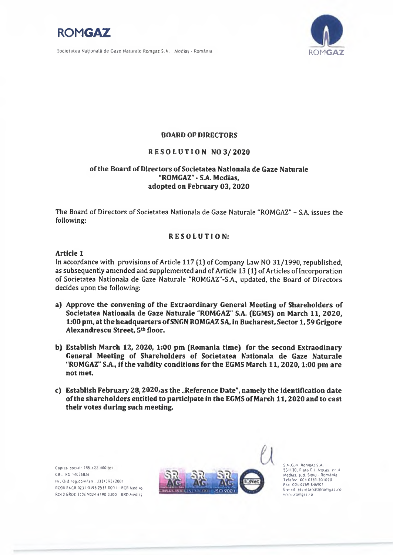

Societatea Națională de Gaze Naturale Romgaz S.A. Mediaș - România



## **BOARD OF DIRECTORS**

## RESOLUTION NO3/2020

# of the Board of Directors of Societatea Nationala de Gaze Naturale "ROMGAZ" - S.A. Medias. adopted on February 03, 2020

The Board of Directors of Societatea Nationala de Gaze Naturale "ROMGAZ" - S.A, issues the following:

## **RESOLUTION:**

### Article 1

In accordance with provisions of Article 117 (1) of Company Law NO 31/1990, republished, as subsequently amended and supplemented and of Article 13 (1) of Articles of Incorporation of Societatea Nationala de Gaze Naturale "ROMGAZ"-S.A., updated, the Board of Directors decides upon the following:

- a) Approve the convening of the Extraordinary General Meeting of Shareholders of Societatea Nationala de Gaze Naturale "ROMGAZ" S.A. (EGMS) on March 11, 2020, 1:00 pm, at the headquarters of SNGN ROMGAZ SA, in Bucharest, Sector 1, 59 Grigore Alexandrescu Street, 5th floor.
- b) Establish March 12, 2020, 1:00 pm (Romania time) for the second Extraodinary General Meeting of Shareholders of Societatea Nationala de Gaze Naturale "ROMGAZ" S.A., if the validity conditions for the EGMS March 11, 2020, 1:00 pm are not met.
- c) Establish February 28, 2020, as the "Reference Date", namely the identification date of the shareholders entitled to participate in the EGMS of March 11, 2020 and to cast their votes during such meeting.

Capital social: 385-422-400 tex  $CIF$   $RQ$   $14056826$ Nr. Ord.reg.com/an = J32/392/2001 RO08 RNCB 0231 0195 2533 0001-BCR Medias RO12 BRDE 3305 V024 6190 3300 - BRD Medias



S.N.G.N. Romanz S.A. 551130, Piata C.I. Motas, nr. 4 Mediaș, jud. Sibiu - România<br>Telefon: 004 0269 201020 Fax: 004 0269 846901 E-mail secretariat@romgaz.ro www.romgaz.ro